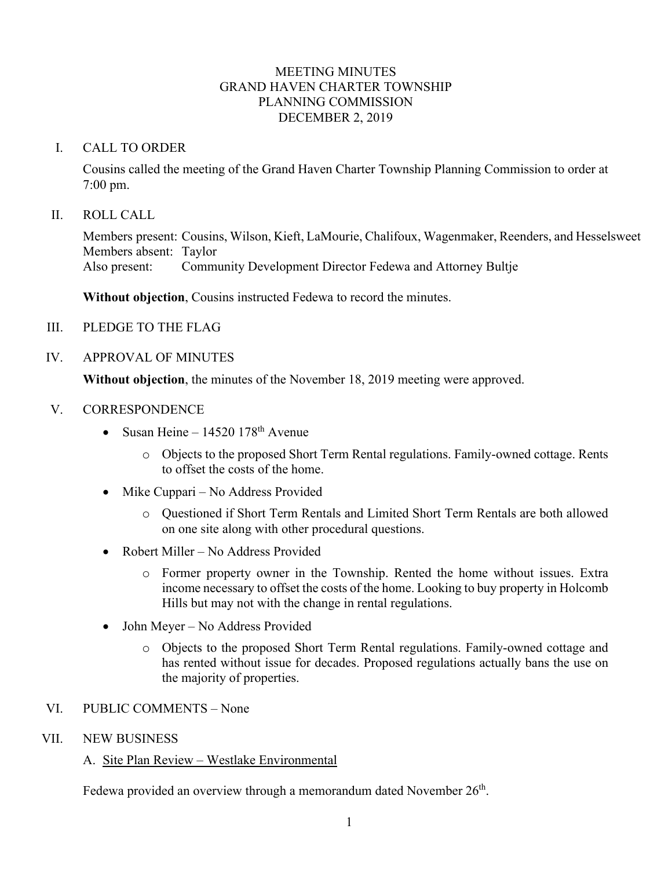# MEETING MINUTES GRAND HAVEN CHARTER TOWNSHIP PLANNING COMMISSION DECEMBER 2, 2019

# I. CALL TO ORDER

Cousins called the meeting of the Grand Haven Charter Township Planning Commission to order at 7:00 pm.

# II. ROLL CALL

Members present: Cousins, Wilson, Kieft, LaMourie, Chalifoux, Wagenmaker, Reenders, and Hesselsweet Members absent: Taylor Also present: Community Development Director Fedewa and Attorney Bultje

**Without objection**, Cousins instructed Fedewa to record the minutes.

III. PLEDGE TO THE FLAG

# IV. APPROVAL OF MINUTES

**Without objection**, the minutes of the November 18, 2019 meeting were approved.

# V. CORRESPONDENCE

- Susan Heine  $14520$   $178<sup>th</sup>$  Avenue
	- o Objects to the proposed Short Term Rental regulations. Family-owned cottage. Rents to offset the costs of the home.
- Mike Cuppari No Address Provided
	- o Questioned if Short Term Rentals and Limited Short Term Rentals are both allowed on one site along with other procedural questions.
- Robert Miller No Address Provided
	- o Former property owner in the Township. Rented the home without issues. Extra income necessary to offset the costs of the home. Looking to buy property in Holcomb Hills but may not with the change in rental regulations.
- John Meyer No Address Provided
	- o Objects to the proposed Short Term Rental regulations. Family-owned cottage and has rented without issue for decades. Proposed regulations actually bans the use on the majority of properties.

## VI. PUBLIC COMMENTS – None

### VII. NEW BUSINESS

# A. Site Plan Review – Westlake Environmental

Fedewa provided an overview through a memorandum dated November 26<sup>th</sup>.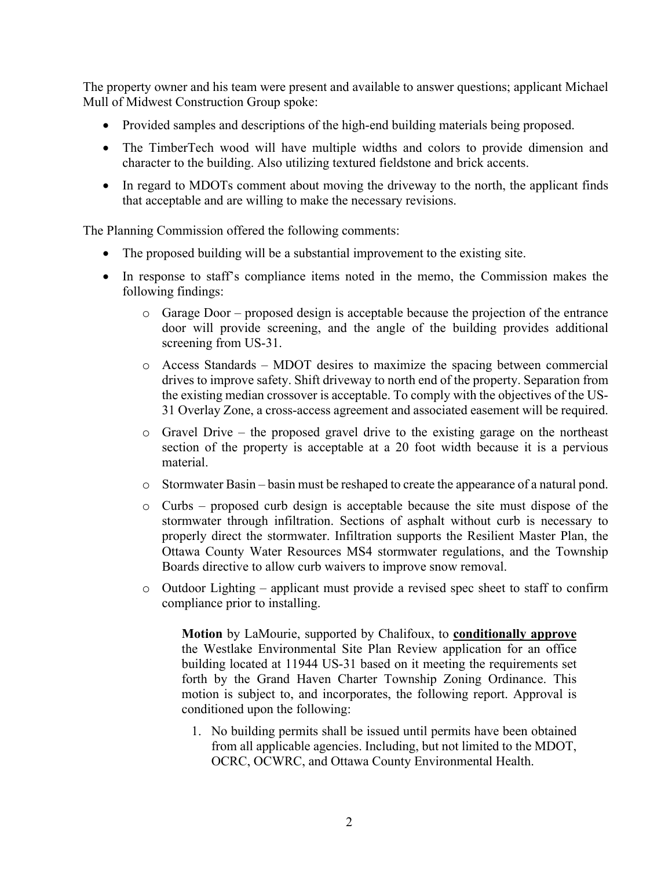The property owner and his team were present and available to answer questions; applicant Michael Mull of Midwest Construction Group spoke:

- Provided samples and descriptions of the high-end building materials being proposed.
- The TimberTech wood will have multiple widths and colors to provide dimension and character to the building. Also utilizing textured fieldstone and brick accents.
- In regard to MDOTs comment about moving the driveway to the north, the applicant finds that acceptable and are willing to make the necessary revisions.

The Planning Commission offered the following comments:

- The proposed building will be a substantial improvement to the existing site.
- In response to staff's compliance items noted in the memo, the Commission makes the following findings:
	- o Garage Door proposed design is acceptable because the projection of the entrance door will provide screening, and the angle of the building provides additional screening from US-31.
	- o Access Standards MDOT desires to maximize the spacing between commercial drives to improve safety. Shift driveway to north end of the property. Separation from the existing median crossover is acceptable. To comply with the objectives of the US-31 Overlay Zone, a cross-access agreement and associated easement will be required.
	- o Gravel Drive the proposed gravel drive to the existing garage on the northeast section of the property is acceptable at a 20 foot width because it is a pervious material.
	- o Stormwater Basin basin must be reshaped to create the appearance of a natural pond.
	- o Curbs proposed curb design is acceptable because the site must dispose of the stormwater through infiltration. Sections of asphalt without curb is necessary to properly direct the stormwater. Infiltration supports the Resilient Master Plan, the Ottawa County Water Resources MS4 stormwater regulations, and the Township Boards directive to allow curb waivers to improve snow removal.
	- o Outdoor Lighting applicant must provide a revised spec sheet to staff to confirm compliance prior to installing.

**Motion** by LaMourie, supported by Chalifoux, to **conditionally approve** the Westlake Environmental Site Plan Review application for an office building located at 11944 US-31 based on it meeting the requirements set forth by the Grand Haven Charter Township Zoning Ordinance. This motion is subject to, and incorporates, the following report. Approval is conditioned upon the following:

1. No building permits shall be issued until permits have been obtained from all applicable agencies. Including, but not limited to the MDOT, OCRC, OCWRC, and Ottawa County Environmental Health.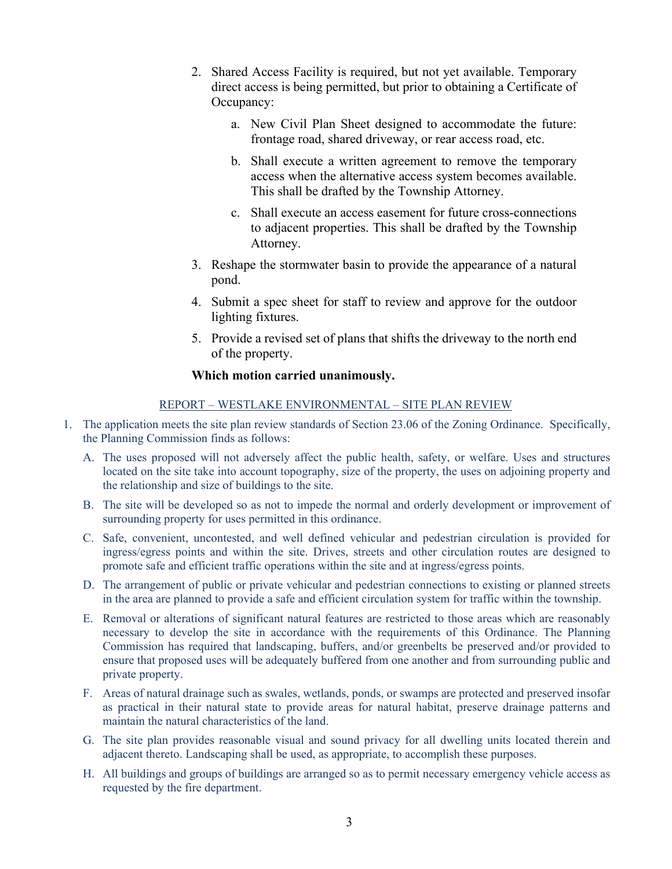- 2. Shared Access Facility is required, but not yet available. Temporary direct access is being permitted, but prior to obtaining a Certificate of Occupancy:
	- a. New Civil Plan Sheet designed to accommodate the future: frontage road, shared driveway, or rear access road, etc.
	- b. Shall execute a written agreement to remove the temporary access when the alternative access system becomes available. This shall be drafted by the Township Attorney.
	- c. Shall execute an access easement for future cross-connections to adjacent properties. This shall be drafted by the Township Attorney.
- 3. Reshape the stormwater basin to provide the appearance of a natural pond.
- 4. Submit a spec sheet for staff to review and approve for the outdoor lighting fixtures.
- 5. Provide a revised set of plans that shifts the driveway to the north end of the property.

### **Which motion carried unanimously.**

#### REPORT – WESTLAKE ENVIRONMENTAL – SITE PLAN REVIEW

- 1. The application meets the site plan review standards of Section 23.06 of the Zoning Ordinance. Specifically, the Planning Commission finds as follows:
	- A. The uses proposed will not adversely affect the public health, safety, or welfare. Uses and structures located on the site take into account topography, size of the property, the uses on adjoining property and the relationship and size of buildings to the site.
	- B. The site will be developed so as not to impede the normal and orderly development or improvement of surrounding property for uses permitted in this ordinance.
	- C. Safe, convenient, uncontested, and well defined vehicular and pedestrian circulation is provided for ingress/egress points and within the site. Drives, streets and other circulation routes are designed to promote safe and efficient traffic operations within the site and at ingress/egress points.
	- D. The arrangement of public or private vehicular and pedestrian connections to existing or planned streets in the area are planned to provide a safe and efficient circulation system for traffic within the township.
	- E. Removal or alterations of significant natural features are restricted to those areas which are reasonably necessary to develop the site in accordance with the requirements of this Ordinance. The Planning Commission has required that landscaping, buffers, and/or greenbelts be preserved and/or provided to ensure that proposed uses will be adequately buffered from one another and from surrounding public and private property.
	- F. Areas of natural drainage such as swales, wetlands, ponds, or swamps are protected and preserved insofar as practical in their natural state to provide areas for natural habitat, preserve drainage patterns and maintain the natural characteristics of the land.
	- G. The site plan provides reasonable visual and sound privacy for all dwelling units located therein and adjacent thereto. Landscaping shall be used, as appropriate, to accomplish these purposes.
	- H. All buildings and groups of buildings are arranged so as to permit necessary emergency vehicle access as requested by the fire department.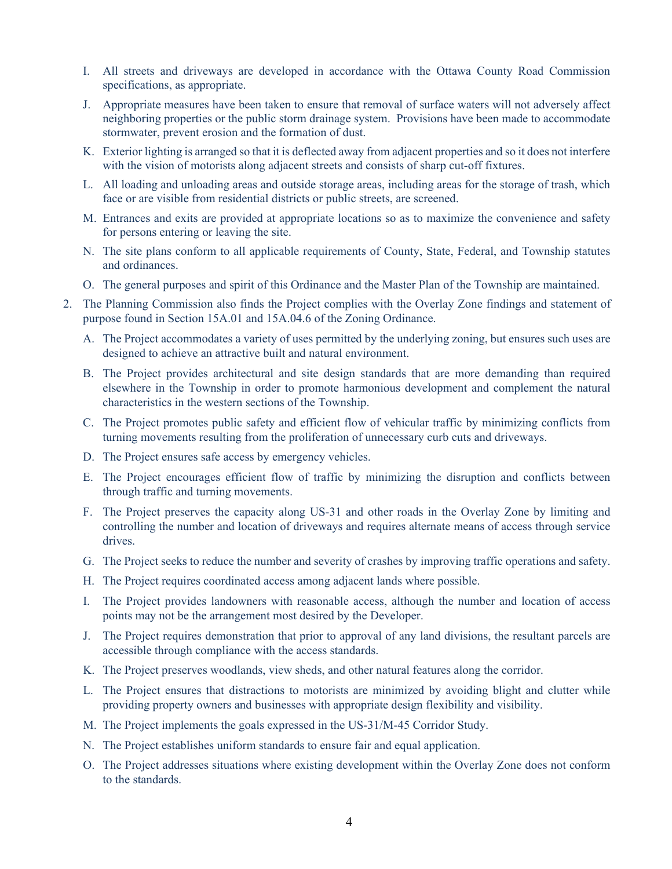- I. All streets and driveways are developed in accordance with the Ottawa County Road Commission specifications, as appropriate.
- J. Appropriate measures have been taken to ensure that removal of surface waters will not adversely affect neighboring properties or the public storm drainage system. Provisions have been made to accommodate stormwater, prevent erosion and the formation of dust.
- K. Exterior lighting is arranged so that it is deflected away from adjacent properties and so it does not interfere with the vision of motorists along adjacent streets and consists of sharp cut-off fixtures.
- L. All loading and unloading areas and outside storage areas, including areas for the storage of trash, which face or are visible from residential districts or public streets, are screened.
- M. Entrances and exits are provided at appropriate locations so as to maximize the convenience and safety for persons entering or leaving the site.
- N. The site plans conform to all applicable requirements of County, State, Federal, and Township statutes and ordinances.
- O. The general purposes and spirit of this Ordinance and the Master Plan of the Township are maintained.
- 2. The Planning Commission also finds the Project complies with the Overlay Zone findings and statement of purpose found in Section 15A.01 and 15A.04.6 of the Zoning Ordinance.
	- A. The Project accommodates a variety of uses permitted by the underlying zoning, but ensures such uses are designed to achieve an attractive built and natural environment.
	- B. The Project provides architectural and site design standards that are more demanding than required elsewhere in the Township in order to promote harmonious development and complement the natural characteristics in the western sections of the Township.
	- C. The Project promotes public safety and efficient flow of vehicular traffic by minimizing conflicts from turning movements resulting from the proliferation of unnecessary curb cuts and driveways.
	- D. The Project ensures safe access by emergency vehicles.
	- E. The Project encourages efficient flow of traffic by minimizing the disruption and conflicts between through traffic and turning movements.
	- F. The Project preserves the capacity along US-31 and other roads in the Overlay Zone by limiting and controlling the number and location of driveways and requires alternate means of access through service drives.
	- G. The Project seeks to reduce the number and severity of crashes by improving traffic operations and safety.
	- H. The Project requires coordinated access among adjacent lands where possible.
	- I. The Project provides landowners with reasonable access, although the number and location of access points may not be the arrangement most desired by the Developer.
	- J. The Project requires demonstration that prior to approval of any land divisions, the resultant parcels are accessible through compliance with the access standards.
	- K. The Project preserves woodlands, view sheds, and other natural features along the corridor.
	- L. The Project ensures that distractions to motorists are minimized by avoiding blight and clutter while providing property owners and businesses with appropriate design flexibility and visibility.
	- M. The Project implements the goals expressed in the US-31/M-45 Corridor Study.
	- N. The Project establishes uniform standards to ensure fair and equal application.
	- O. The Project addresses situations where existing development within the Overlay Zone does not conform to the standards.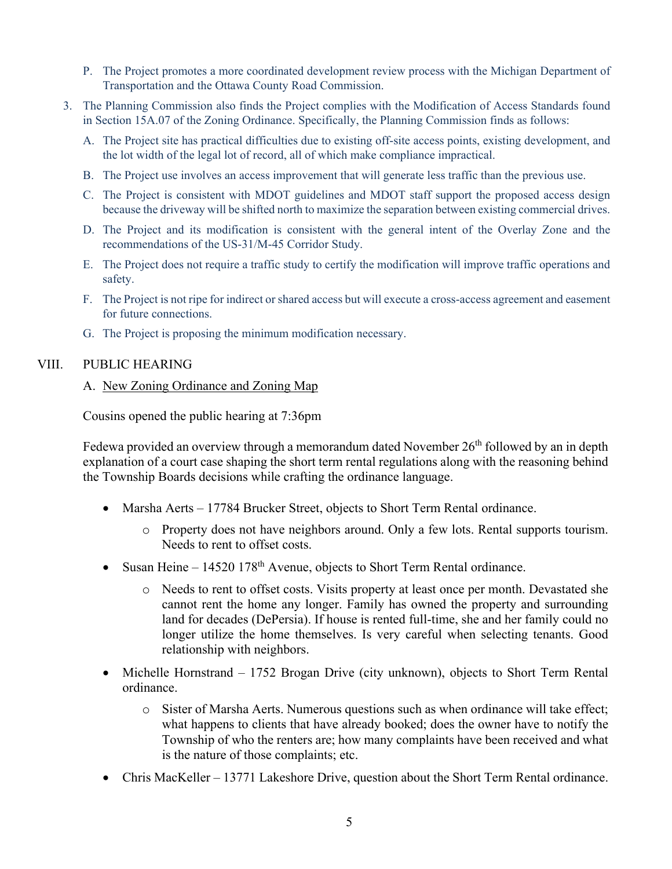- P. The Project promotes a more coordinated development review process with the Michigan Department of Transportation and the Ottawa County Road Commission.
- 3. The Planning Commission also finds the Project complies with the Modification of Access Standards found in Section 15A.07 of the Zoning Ordinance. Specifically, the Planning Commission finds as follows:
	- A. The Project site has practical difficulties due to existing off-site access points, existing development, and the lot width of the legal lot of record, all of which make compliance impractical.
	- B. The Project use involves an access improvement that will generate less traffic than the previous use.
	- C. The Project is consistent with MDOT guidelines and MDOT staff support the proposed access design because the driveway will be shifted north to maximize the separation between existing commercial drives.
	- D. The Project and its modification is consistent with the general intent of the Overlay Zone and the recommendations of the US-31/M-45 Corridor Study.
	- E. The Project does not require a traffic study to certify the modification will improve traffic operations and safety.
	- F. The Project is not ripe for indirect or shared access but will execute a cross-access agreement and easement for future connections.
	- G. The Project is proposing the minimum modification necessary.

# VIII. PUBLIC HEARING

# A. New Zoning Ordinance and Zoning Map

Cousins opened the public hearing at 7:36pm

Fedewa provided an overview through a memorandum dated November  $26<sup>th</sup>$  followed by an in depth explanation of a court case shaping the short term rental regulations along with the reasoning behind the Township Boards decisions while crafting the ordinance language.

- Marsha Aerts 17784 Brucker Street, objects to Short Term Rental ordinance.
	- o Property does not have neighbors around. Only a few lots. Rental supports tourism. Needs to rent to offset costs.
- Susan Heine 14520 178<sup>th</sup> Avenue, objects to Short Term Rental ordinance.
	- o Needs to rent to offset costs. Visits property at least once per month. Devastated she cannot rent the home any longer. Family has owned the property and surrounding land for decades (DePersia). If house is rented full-time, she and her family could no longer utilize the home themselves. Is very careful when selecting tenants. Good relationship with neighbors.
- Michelle Hornstrand 1752 Brogan Drive (city unknown), objects to Short Term Rental ordinance.
	- o Sister of Marsha Aerts. Numerous questions such as when ordinance will take effect; what happens to clients that have already booked; does the owner have to notify the Township of who the renters are; how many complaints have been received and what is the nature of those complaints; etc.
- Chris MacKeller 13771 Lakeshore Drive, question about the Short Term Rental ordinance.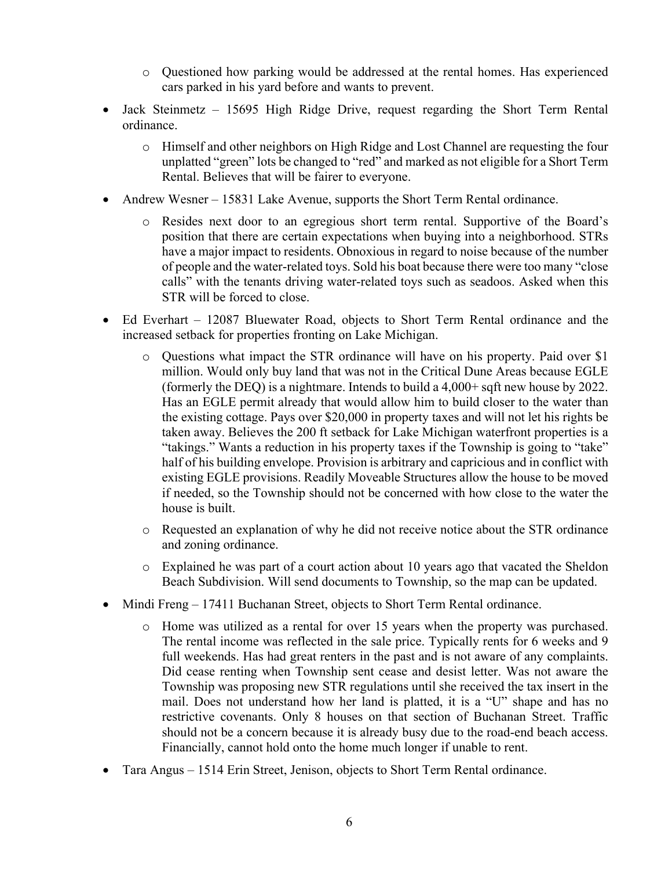- o Questioned how parking would be addressed at the rental homes. Has experienced cars parked in his yard before and wants to prevent.
- Jack Steinmetz 15695 High Ridge Drive, request regarding the Short Term Rental ordinance.
	- o Himself and other neighbors on High Ridge and Lost Channel are requesting the four unplatted "green" lots be changed to "red" and marked as not eligible for a Short Term Rental. Believes that will be fairer to everyone.
- Andrew Wesner 15831 Lake Avenue, supports the Short Term Rental ordinance.
	- o Resides next door to an egregious short term rental. Supportive of the Board's position that there are certain expectations when buying into a neighborhood. STRs have a major impact to residents. Obnoxious in regard to noise because of the number of people and the water-related toys. Sold his boat because there were too many "close calls" with the tenants driving water-related toys such as seadoos. Asked when this STR will be forced to close.
- Ed Everhart 12087 Bluewater Road, objects to Short Term Rental ordinance and the increased setback for properties fronting on Lake Michigan.
	- o Questions what impact the STR ordinance will have on his property. Paid over \$1 million. Would only buy land that was not in the Critical Dune Areas because EGLE (formerly the DEQ) is a nightmare. Intends to build a 4,000+ sqft new house by 2022. Has an EGLE permit already that would allow him to build closer to the water than the existing cottage. Pays over \$20,000 in property taxes and will not let his rights be taken away. Believes the 200 ft setback for Lake Michigan waterfront properties is a "takings." Wants a reduction in his property taxes if the Township is going to "take" half of his building envelope. Provision is arbitrary and capricious and in conflict with existing EGLE provisions. Readily Moveable Structures allow the house to be moved if needed, so the Township should not be concerned with how close to the water the house is built.
	- o Requested an explanation of why he did not receive notice about the STR ordinance and zoning ordinance.
	- o Explained he was part of a court action about 10 years ago that vacated the Sheldon Beach Subdivision. Will send documents to Township, so the map can be updated.
- Mindi Freng 17411 Buchanan Street, objects to Short Term Rental ordinance.
	- o Home was utilized as a rental for over 15 years when the property was purchased. The rental income was reflected in the sale price. Typically rents for 6 weeks and 9 full weekends. Has had great renters in the past and is not aware of any complaints. Did cease renting when Township sent cease and desist letter. Was not aware the Township was proposing new STR regulations until she received the tax insert in the mail. Does not understand how her land is platted, it is a "U" shape and has no restrictive covenants. Only 8 houses on that section of Buchanan Street. Traffic should not be a concern because it is already busy due to the road-end beach access. Financially, cannot hold onto the home much longer if unable to rent.
- Tara Angus 1514 Erin Street, Jenison, objects to Short Term Rental ordinance.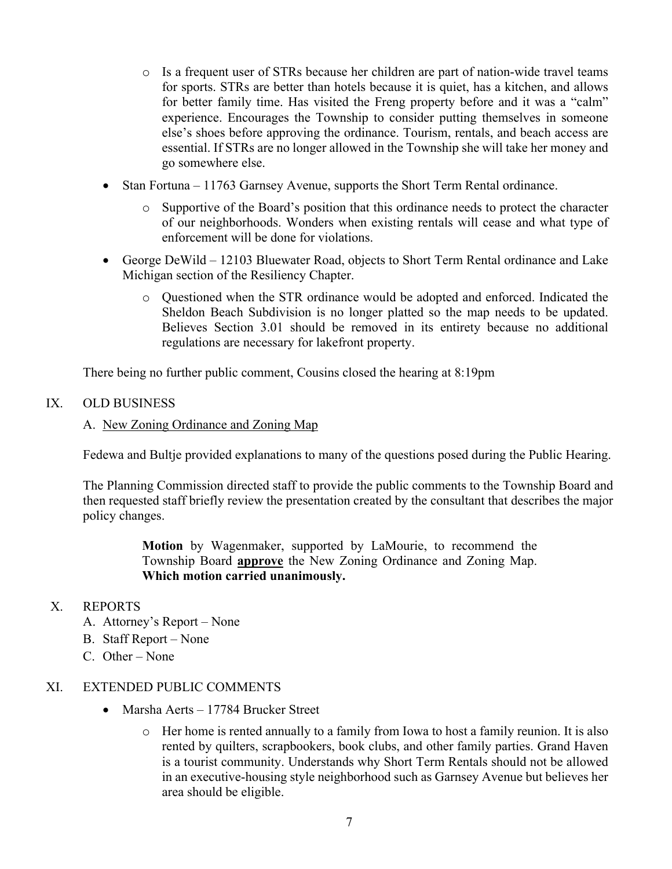- o Is a frequent user of STRs because her children are part of nation-wide travel teams for sports. STRs are better than hotels because it is quiet, has a kitchen, and allows for better family time. Has visited the Freng property before and it was a "calm" experience. Encourages the Township to consider putting themselves in someone else's shoes before approving the ordinance. Tourism, rentals, and beach access are essential. If STRs are no longer allowed in the Township she will take her money and go somewhere else.
- Stan Fortuna 11763 Garnsey Avenue, supports the Short Term Rental ordinance.
	- o Supportive of the Board's position that this ordinance needs to protect the character of our neighborhoods. Wonders when existing rentals will cease and what type of enforcement will be done for violations.
- George DeWild 12103 Bluewater Road, objects to Short Term Rental ordinance and Lake Michigan section of the Resiliency Chapter.
	- o Questioned when the STR ordinance would be adopted and enforced. Indicated the Sheldon Beach Subdivision is no longer platted so the map needs to be updated. Believes Section 3.01 should be removed in its entirety because no additional regulations are necessary for lakefront property.

There being no further public comment, Cousins closed the hearing at 8:19pm

### IX. OLD BUSINESS

### A. New Zoning Ordinance and Zoning Map

Fedewa and Bultje provided explanations to many of the questions posed during the Public Hearing.

The Planning Commission directed staff to provide the public comments to the Township Board and then requested staff briefly review the presentation created by the consultant that describes the major policy changes.

> **Motion** by Wagenmaker, supported by LaMourie, to recommend the Township Board **approve** the New Zoning Ordinance and Zoning Map. **Which motion carried unanimously.**

### X. REPORTS

- A. Attorney's Report None
- B. Staff Report None
- C. Other None

### XI. EXTENDED PUBLIC COMMENTS

- Marsha Aerts 17784 Brucker Street
	- o Her home is rented annually to a family from Iowa to host a family reunion. It is also rented by quilters, scrapbookers, book clubs, and other family parties. Grand Haven is a tourist community. Understands why Short Term Rentals should not be allowed in an executive-housing style neighborhood such as Garnsey Avenue but believes her area should be eligible.